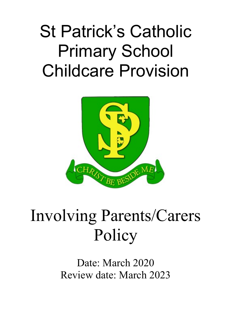## St Patrick's Catholic Primary School Childcare Provision



## Involving Parents/Carers Policy

Date: March 2020 Review date: March 2023